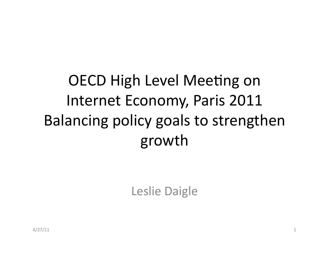OECD High Level Meeting on Internet Economy, Paris 2011 Balancing policy goals to strengthen growth

Leslie Daigle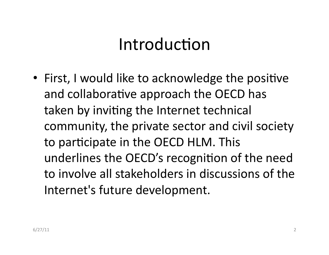### Introduction

• First, I would like to acknowledge the positive and collaborative approach the OECD has taken by inviting the Internet technical community, the private sector and civil society to participate in the OECD HLM. This underlines the OECD's recognition of the need to involve all stakeholders in discussions of the Internet's future development.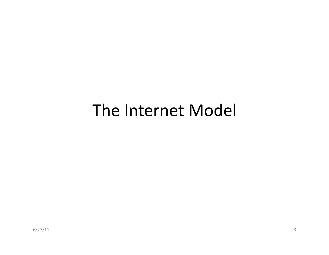#### The Internet Model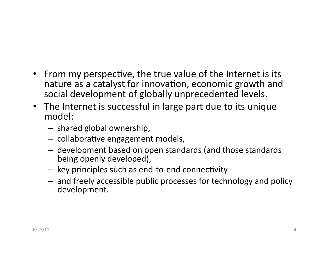- From my perspective, the true value of the Internet is its nature as a catalyst for innovation, economic growth and social development of globally unprecedented levels.
- The Internet is successful in large part due to its unique model:%
	- $-$  shared global ownership,
	- $-$  collaborative engagement models,
	- $-$  development based on open standards (and those standards being openly developed),
	- $-$  key principles such as end-to-end connectivity
	- and freely accessible public processes for technology and policy development.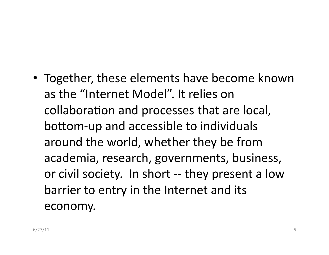• Together, these elements have become known as the "Internet Model". It relies on collaboration and processes that are local, bottom-up and accessible to individuals around the world, whether they be from academia, research, governments, business, or civil society. In short -- they present a low barrier to entry in the Internet and its economy.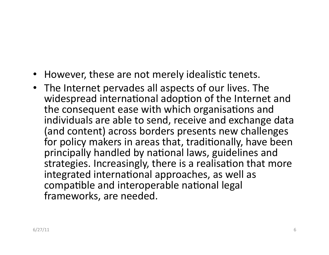- However, these are not merely idealistic tenets.
- The Internet pervades all aspects of our lives. The widespread international adoption of the Internet and the consequent ease with which organisations and individuals are able to send, receive and exchange data (and content) across borders presents new challenges for policy makers in areas that, traditionally, have been principally handled by national laws, guidelines and strategies. Increasingly, there is a realisation that more integrated international approaches, as well as compatible and interoperable national legal frameworks, are needed.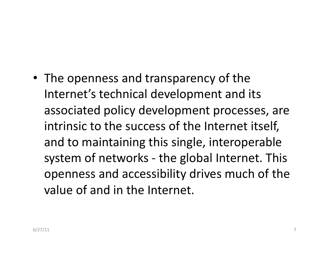• The openness and transparency of the Internet's technical development and its associated policy development processes, are intrinsic to the success of the Internet itself, and to maintaining this single, interoperable system of networks - the global Internet. This openness and accessibility drives much of the value of and in the Internet.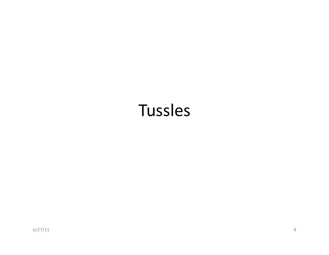### **Tussles**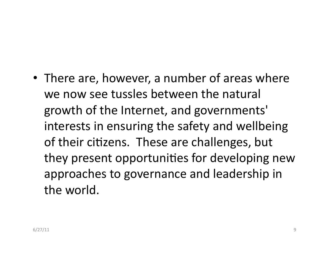• There are, however, a number of areas where we now see tussles between the natural growth of the Internet, and governments' interests in ensuring the safety and wellbeing of their citizens. These are challenges, but they present opportunities for developing new approaches to governance and leadership in the world.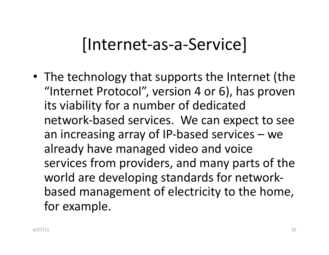# |Internet-as-a-Service|

• The technology that supports the Internet (the "Internet Protocol", version 4 or 6), has proven its viability for a number of dedicated network-based services. We can expect to see an increasing array of IP-based services – we already have managed video and voice services from providers, and many parts of the world are developing standards for networkbased management of electricity to the home, for example.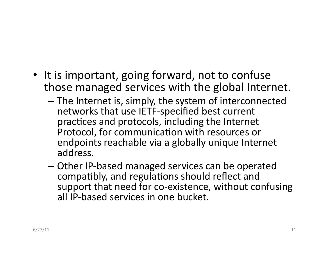- It is important, going forward, not to confuse those managed services with the global Internet.
	- $-$  The Internet is, simply, the system of interconnected networks that use IETF-specified best current practices and protocols, including the Internet Protocol, for communication with resources or endpoints reachable via a globally unique Internet address.
	- $-$  Other IP-based managed services can be operated compatibly, and regulations should reflect and support that need for co-existence, without confusing all IP-based services in one bucket.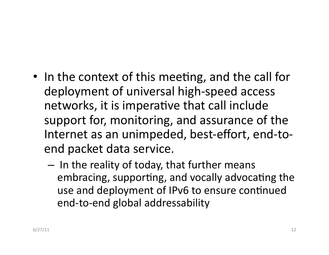- In the context of this meeting, and the call for deployment of universal high-speed access networks, it is imperative that call include support for, monitoring, and assurance of the Internet as an unimpeded, best-effort, end-toend packet data service.
	- $-$  In the reality of today, that further means embracing, supporting, and vocally advocating the use and deployment of IPv6 to ensure continued end-to-end global addressability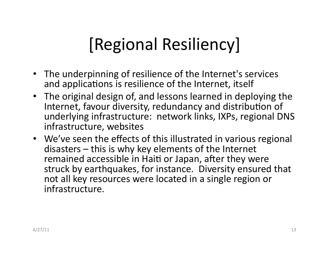# [Regional Resiliency]

- The underpinning of resilience of the Internet's services and applications is resilience of the Internet, itself
- The original design of, and lessons learned in deploying the Internet, favour diversity, redundancy and distribution of underlying infrastructure: network links, IXPs, regional DNS infrastructure, websites
- We've seen the effects of this illustrated in various regional disasters – this is why key elements of the Internet remained accessible in Haiti or Japan, after they were struck by earthquakes, for instance. Diversity ensured that not all key resources were located in a single region or infrastructure.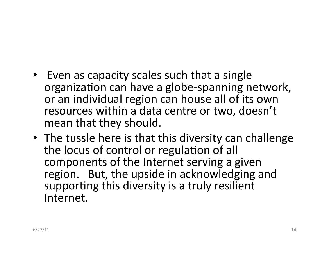- Even as capacity scales such that a single organization can have a globe-spanning network, or an individual region can house all of its own resources within a data centre or two, doesn't mean that they should.
- The tussle here is that this diversity can challenge the locus of control or regulation of all components of the Internet serving a given region. But, the upside in acknowledging and supporting this diversity is a truly resilient Internet.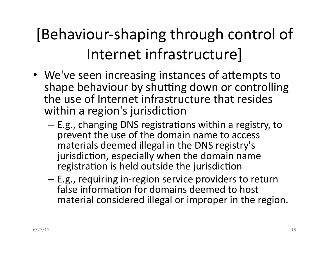# [Behaviour-shaping through control of Internet infrastructure]

- We've seen increasing instances of attempts to shape behaviour by shutting down or controlling the use of Internet infrastructure that resides within a region's jurisdiction
	- $-$  E.g., changing DNS registrations within a registry, to prevent the use of the domain name to access materials deemed illegal in the DNS registry's jurisdiction, especially when the domain name registration is held outside the jurisdiction
	- $-$  E.g., requiring in-region service providers to return false information for domains deemed to host material considered illegal or improper in the region.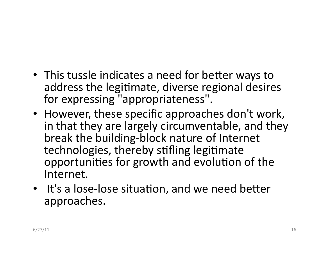- This tussle indicates a need for better ways to address the legitimate, diverse regional desires for expressing "appropriateness".
- However, these specific approaches don't work, in that they are largely circumventable, and they break the building-block nature of Internet technologies, thereby stifling legitimate opportunities for growth and evolution of the Internet.
- $\cdot$  It's a lose-lose situation, and we need better approaches.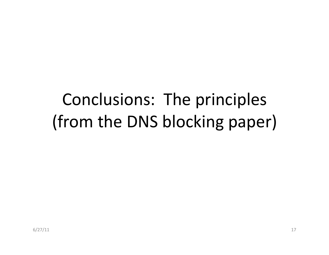# Conclusions: The principles (from the DNS blocking paper)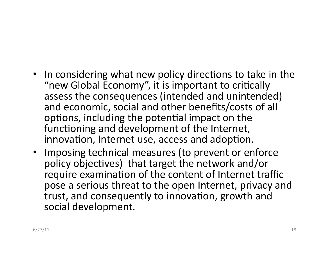- In considering what new policy directions to take in the "new Global Economy", it is important to critically assess the consequences (intended and unintended) and economic, social and other benefits/costs of all options, including the potential impact on the functioning and development of the Internet, innovation, Internet use, access and adoption.
- Imposing technical measures (to prevent or enforce policy objectives) that target the network and/or require examination of the content of Internet traffic pose a serious threat to the open Internet, privacy and trust, and consequently to innovation, growth and social development.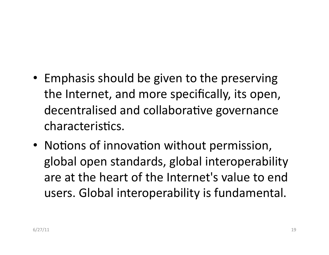- Emphasis should be given to the preserving the Internet, and more specifically, its open, decentralised and collaborative governance characteristics.
- Notions of innovation without permission, global open standards, global interoperability are at the heart of the Internet's value to end users. Global interoperability is fundamental.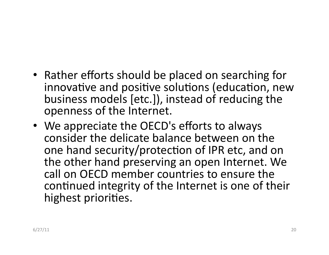- Rather efforts should be placed on searching for innovative and positive solutions (education, new business models  $[etc.])$ , instead of reducing the openness of the Internet.
- We appreciate the OECD's efforts to always consider the delicate balance between on the one hand security/protection of IPR etc, and on the other hand preserving an open Internet. We call on OECD member countries to ensure the continued integrity of the Internet is one of their highest priorities.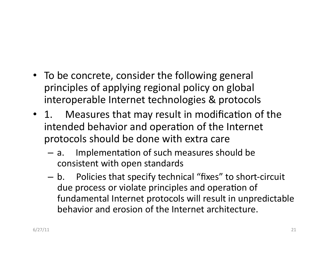- To be concrete, consider the following general principles of applying regional policy on global interoperable Internet technologies & protocols
- 1. Measures that may result in modification of the intended behavior and operation of the Internet protocols should be done with extra care
	- $-$  a. Implementation of such measures should be consistent with open standards
	- $-$  b. Policies that specify technical "fixes" to short-circuit due process or violate principles and operation of fundamental Internet protocols will result in unpredictable behavior and erosion of the Internet architecture.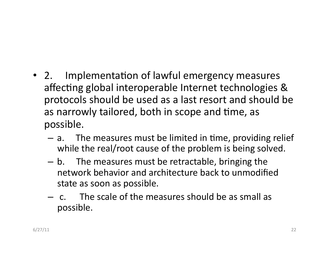- 2. Implementation of lawful emergency measures affecting global interoperable Internet technologies & protocols should be used as a last resort and should be as narrowly tailored, both in scope and time, as possible.
	- $a.$  The measures must be limited in time, providing relief while the real/root cause of the problem is being solved.
	- $-$  b. The measures must be retractable, bringing the network behavior and architecture back to unmodified state as soon as possible.
	- $-$  c. The scale of the measures should be as small as possible.%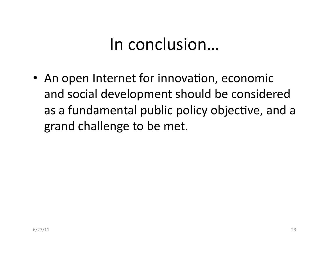### In conclusion...

• An open Internet for innovation, economic and social development should be considered as a fundamental public policy objective, and a grand challenge to be met.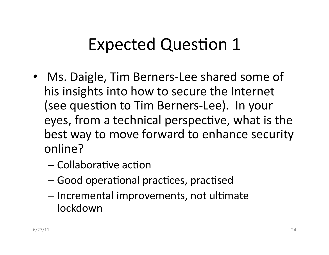# Expected Question 1

- Ms. Daigle, Tim Berners-Lee shared some of his insights into how to secure the Internet (see question to Tim Berners-Lee). In your eyes, from a technical perspective, what is the best way to move forward to enhance security online?
	- $-$  Collaborative action
	- Good operational practices, practised
	- $-$  Incremental improvements, not ultimate **lockdown**